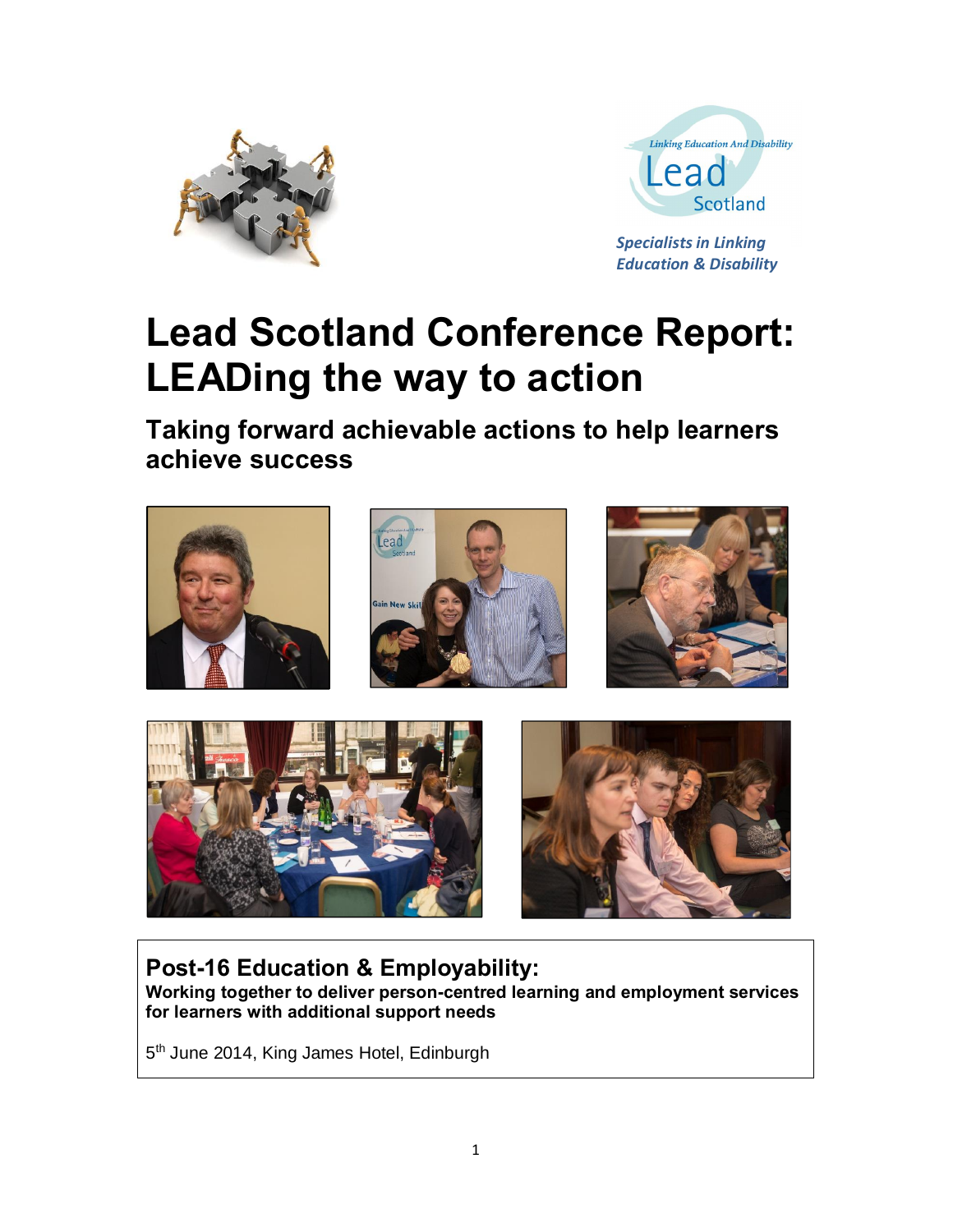



*Specialists in Linking Education & Disability* 

# **Lead Scotland Conference Report: LEADing the way to action**

**Taking forward achievable actions to help learners achieve success** 



**Post-16 Education & Employability: Working together to deliver person-centred learning and employment services for learners with additional support needs**

5<sup>th</sup> June 2014, King James Hotel, Edinburgh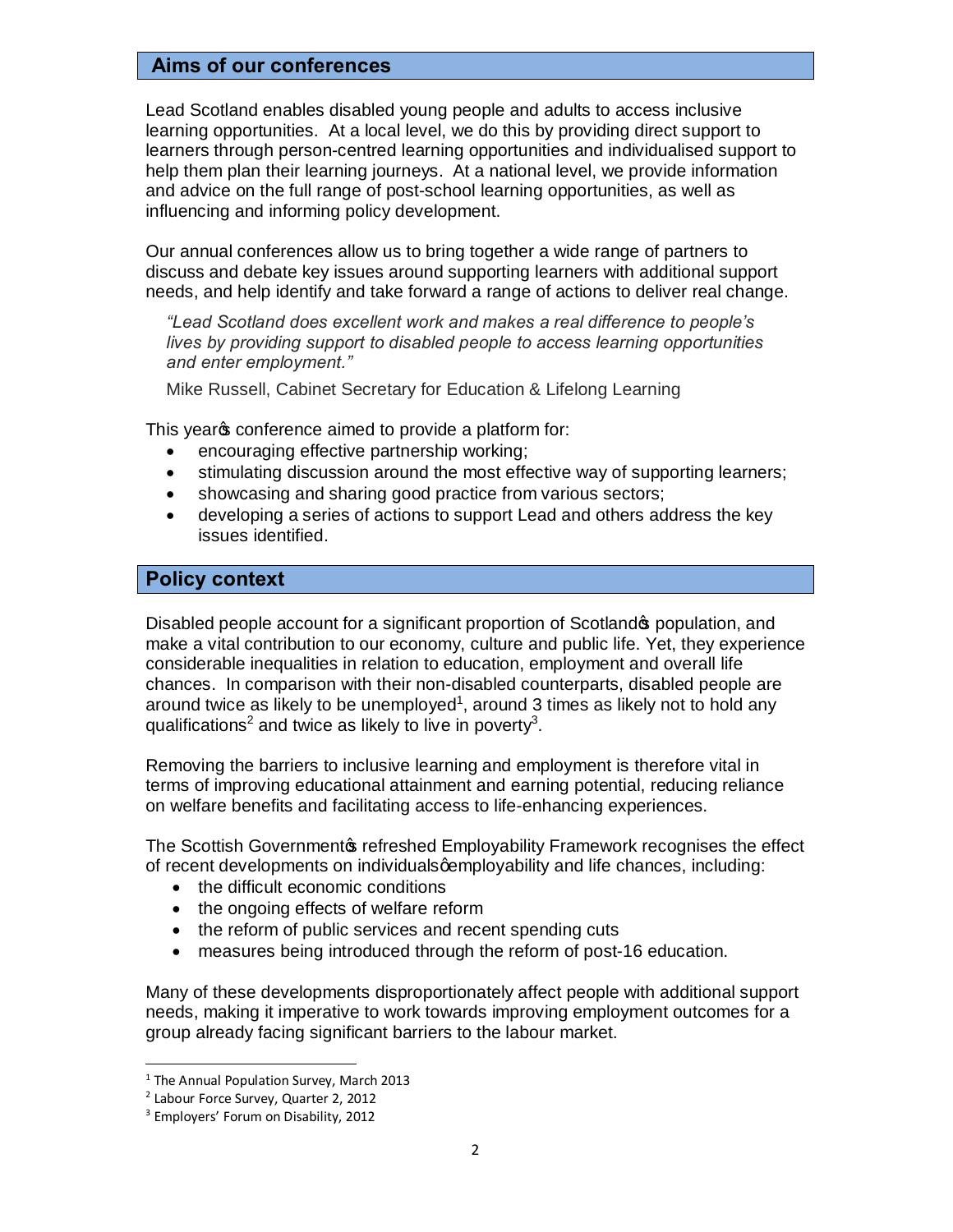# **Aims of our conferences**

Lead Scotland enables disabled young people and adults to access inclusive learning opportunities. At a local level, we do this by providing direct support to learners through person-centred learning opportunities and individualised support to help them plan their learning journeys. At a national level, we provide information and advice on the full range of post-school learning opportunities, as well as influencing and informing policy development.

Our annual conferences allow us to bring together a wide range of partners to discuss and debate key issues around supporting learners with additional support needs, and help identify and take forward a range of actions to deliver real change.

*"Lead Scotland does excellent work and makes a real difference to people's lives by providing support to disabled people to access learning opportunities and enter employment."*

Mike Russell, Cabinet Secretary for Education & Lifelong Learning

This year of conference aimed to provide a platform for:

- encouraging effective partnership working;
- · stimulating discussion around the most effective way of supporting learners;
- showcasing and sharing good practice from various sectors;
- · developing a series of actions to support Lead and others address the key issues identified.

# **Policy context**

Disabled people account for a significant proportion of Scotland **s** population, and make a vital contribution to our economy, culture and public life. Yet, they experience considerable inequalities in relation to education, employment and overall life chances. In comparison with their non-disabled counterparts, disabled people are around twice as likely to be unemployed<sup>1</sup>, around 3 times as likely not to hold any qualifications<sup>2</sup> and twice as likely to live in poverty<sup>3</sup>.

Removing the barriers to inclusive learning and employment is therefore vital in terms of improving educational attainment and earning potential, reducing reliance on welfare benefits and facilitating access to life-enhancing experiences.

The Scottish Governmentos refreshed Employability Framework recognises the effect of recent developments on individuals a employability and life chances, including:

- the difficult economic conditions
- · the ongoing effects of welfare reform
- the reform of public services and recent spending cuts
- · measures being introduced through the reform of post-16 education.

Many of these developments disproportionately affect people with additional support needs, making it imperative to work towards improving employment outcomes for a group already facing significant barriers to the labour market.

<sup>&</sup>lt;sup>1</sup> The Annual Population Survey, March 2013

<sup>2</sup> Labour Force Survey, Quarter 2, 2012

<sup>&</sup>lt;sup>3</sup> Employers' Forum on Disability, 2012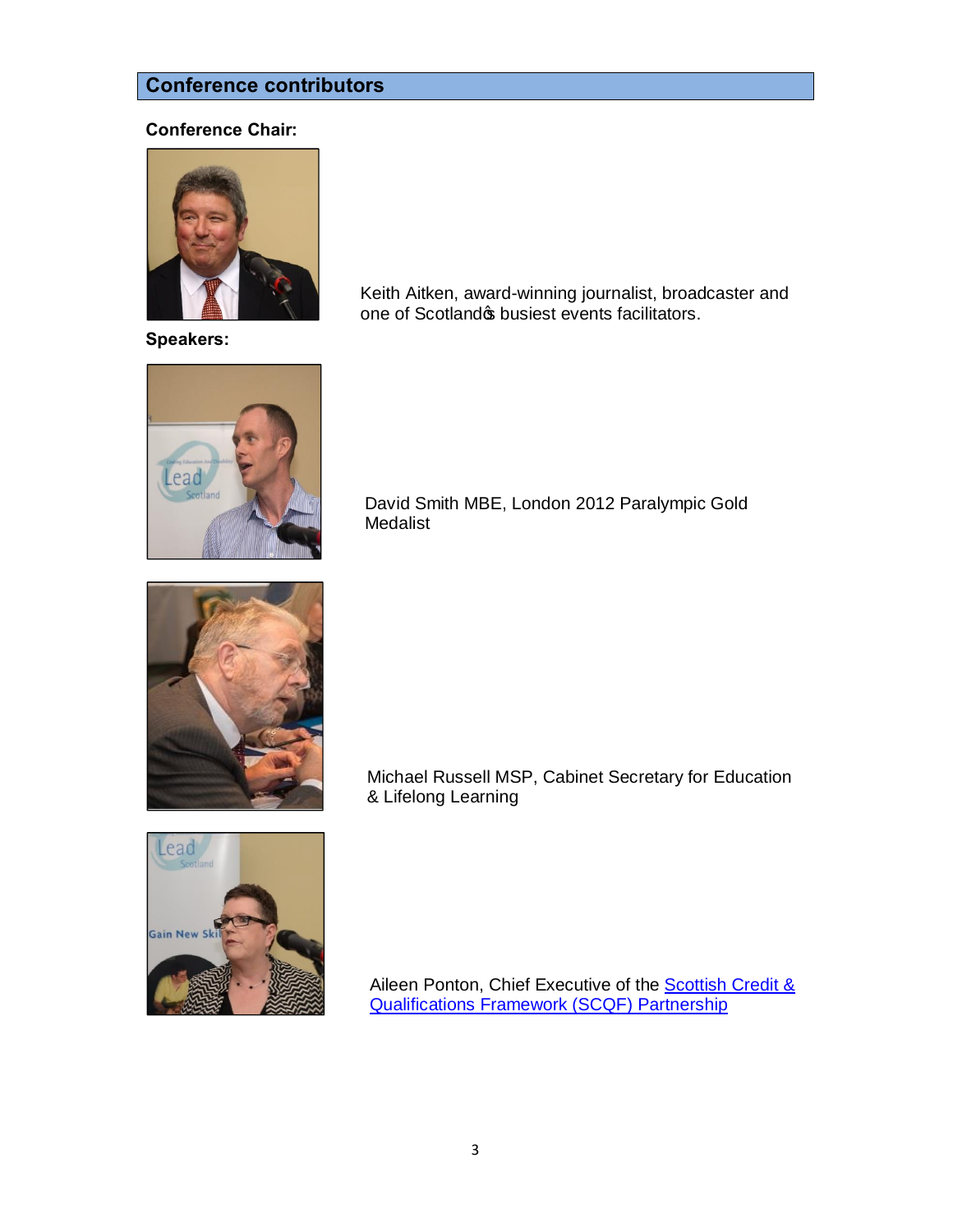# **Conference contributors**

# **Conference Chair:**



Keith Aitken, award-winning journalist, broadcaster and one of Scotland w busiest events facilitators.

**Speakers:**



David Smith MBE, London 2012 Paralympic Gold Medalist



Michael Russell MSP, Cabinet Secretary for Education & Lifelong Learning



Aileen Ponton, Chief Executive of the **Scottish Credit &** Qualifications Framework (SCQF) Partnership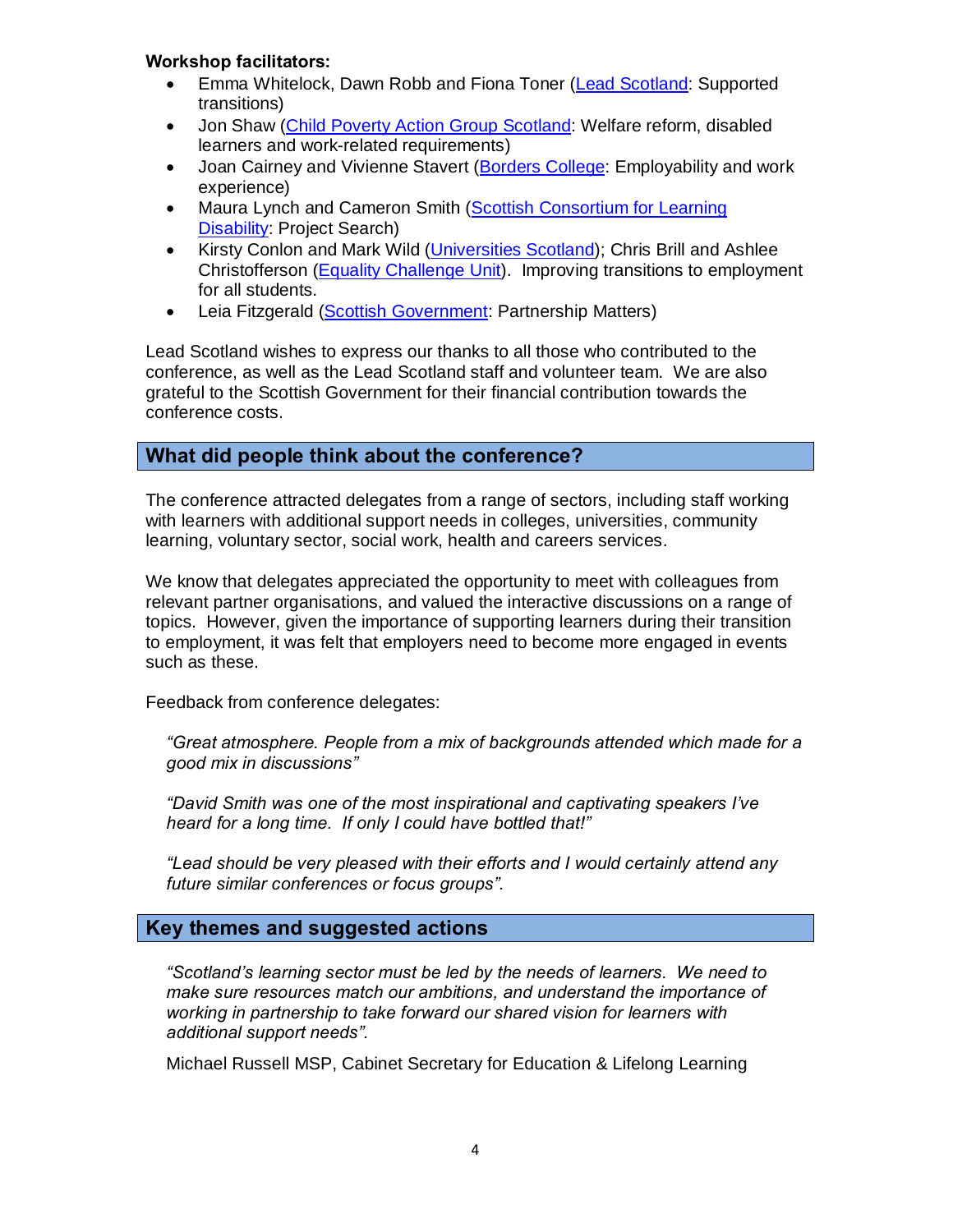# **Workshop facilitators:**

- Emma Whitelock, Dawn Robb and Fiona Toner (Lead Scotland: Supported transitions)
- Jon Shaw (Child Poverty Action Group Scotland: Welfare reform, disabled learners and work-related requirements)
- · Joan Cairney and Vivienne Stavert (Borders College: Employability and work experience)
- Maura Lynch and Cameron Smith (Scottish Consortium for Learning Disability: Project Search)
- · Kirsty Conlon and Mark Wild (Universities Scotland); Chris Brill and Ashlee Christofferson (Equality Challenge Unit). Improving transitions to employment for all students.
- Leia Fitzgerald (Scottish Government: Partnership Matters)

Lead Scotland wishes to express our thanks to all those who contributed to the conference, as well as the Lead Scotland staff and volunteer team. We are also grateful to the Scottish Government for their financial contribution towards the conference costs.

# **What did people think about the conference?**

The conference attracted delegates from a range of sectors, including staff working with learners with additional support needs in colleges, universities, community learning, voluntary sector, social work, health and careers services.

We know that delegates appreciated the opportunity to meet with colleagues from relevant partner organisations, and valued the interactive discussions on a range of topics. However, given the importance of supporting learners during their transition to employment, it was felt that employers need to become more engaged in events such as these.

Feedback from conference delegates:

*"Great atmosphere. People from a mix of backgrounds attended which made for a good mix in discussions"*

*"David Smith was one of the most inspirational and captivating speakers I've heard for a long time. If only I could have bottled that!"*

*"Lead should be very pleased with their efforts and I would certainly attend any future similar conferences or focus groups".*

# **Key themes and suggested actions**

*"Scotland's learning sector must be led by the needs of learners. We need to make sure resources match our ambitions, and understand the importance of working in partnership to take forward our shared vision for learners with additional support needs".*

Michael Russell MSP, Cabinet Secretary for Education & Lifelong Learning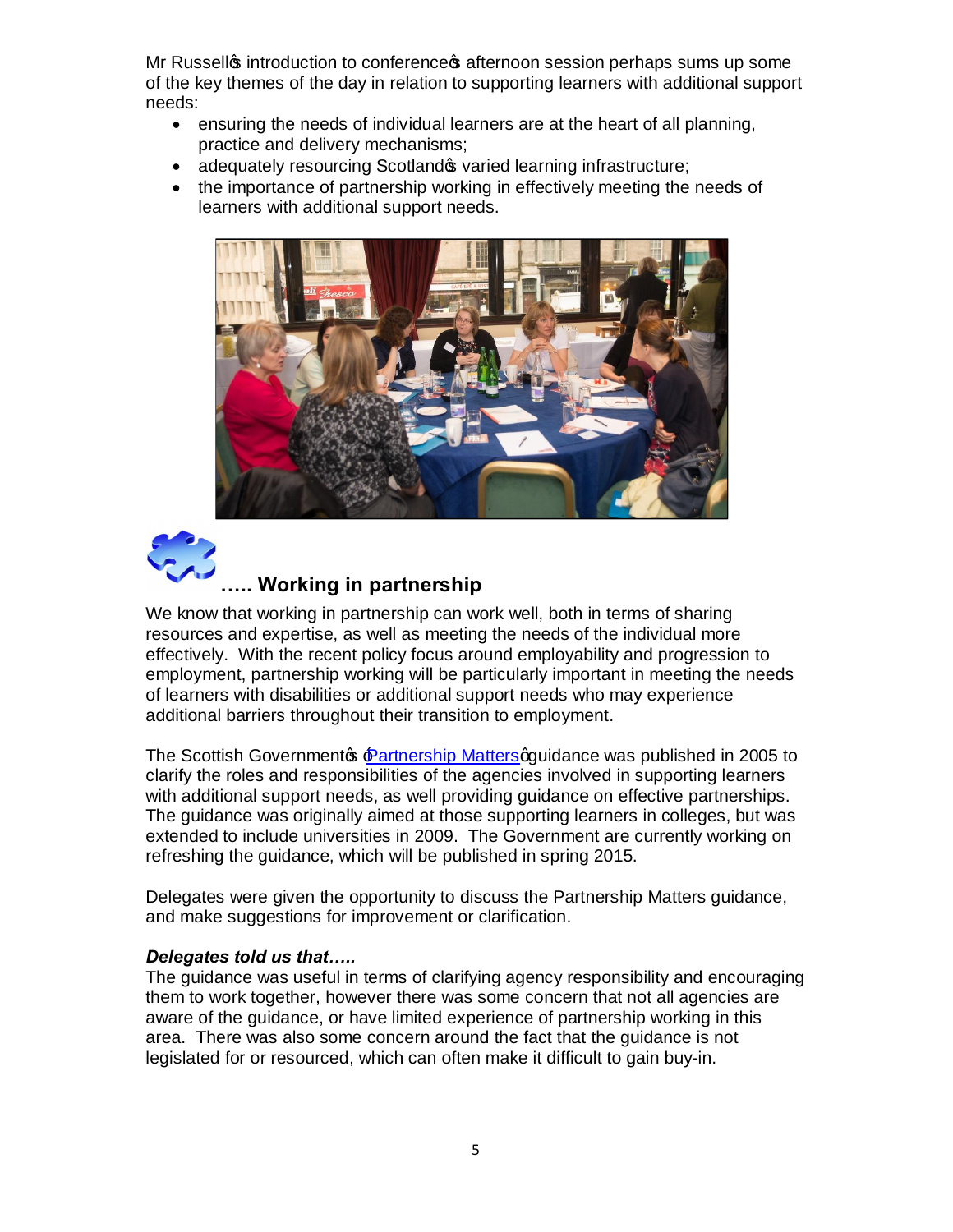Mr Russell<sub>®</sub> introduction to conference afternoon session perhaps sums up some of the key themes of the day in relation to supporting learners with additional support needs:

- · ensuring the needs of individual learners are at the heart of all planning, practice and delivery mechanisms;
- adequately resourcing Scotland  $\phi$  varied learning infrastructure;
- · the importance of partnership working in effectively meeting the needs of learners with additional support needs.





# **….. Working in partnership**

We know that working in partnership can work well, both in terms of sharing resources and expertise, as well as meeting the needs of the individual more effectively. With the recent policy focus around employability and progression to employment, partnership working will be particularly important in meeting the needs of learners with disabilities or additional support needs who may experience additional barriers throughout their transition to employment.

The Scottish Governmentos Partnership Mattersoguidance was published in 2005 to clarify the roles and responsibilities of the agencies involved in supporting learners with additional support needs, as well providing guidance on effective partnerships. The guidance was originally aimed at those supporting learners in colleges, but was extended to include universities in 2009. The Government are currently working on refreshing the guidance, which will be published in spring 2015.

Delegates were given the opportunity to discuss the Partnership Matters guidance, and make suggestions for improvement or clarification.

# *Delegates told us that…..*

The guidance was useful in terms of clarifying agency responsibility and encouraging them to work together, however there was some concern that not all agencies are aware of the guidance, or have limited experience of partnership working in this area. There was also some concern around the fact that the guidance is not legislated for or resourced, which can often make it difficult to gain buy-in.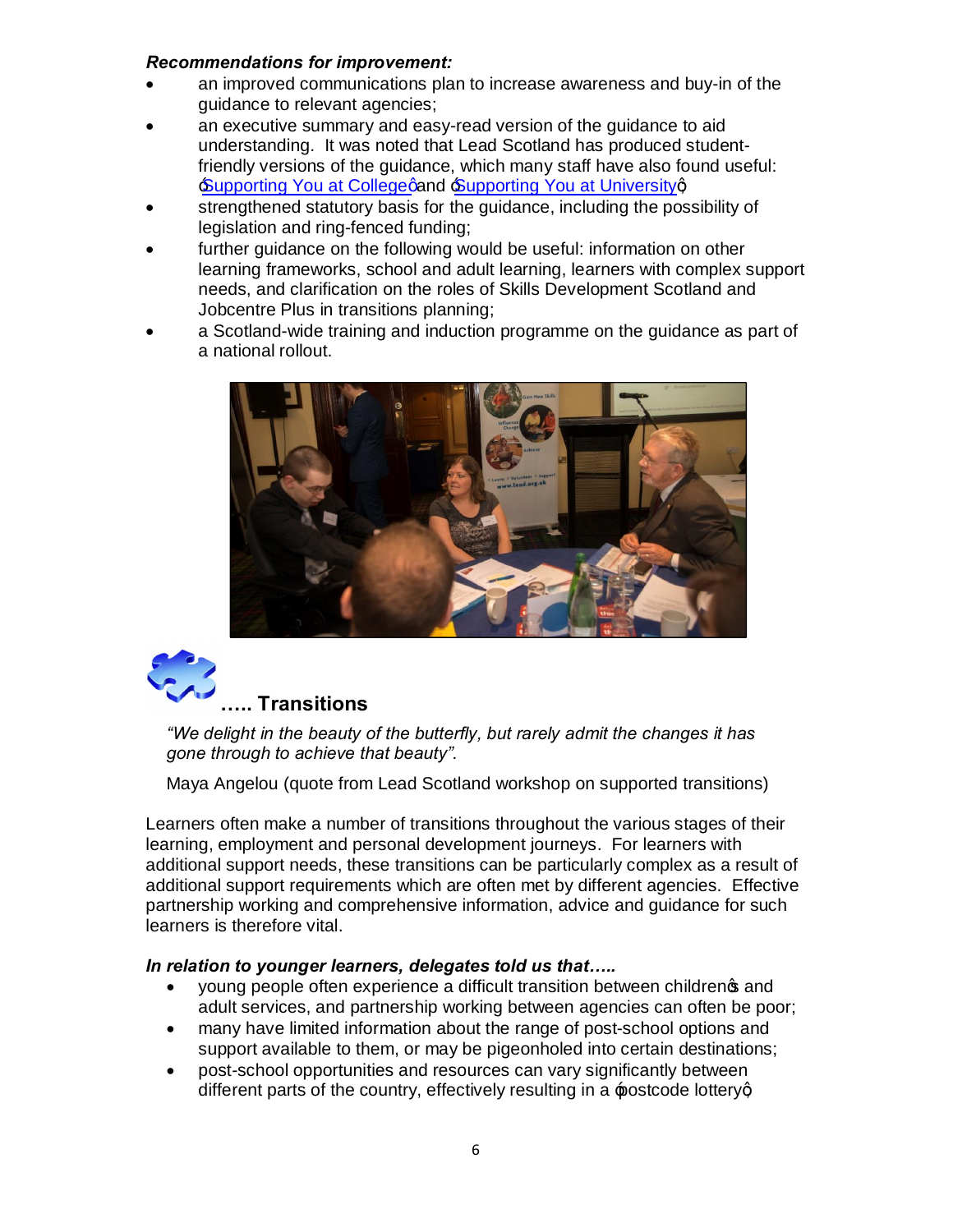# *Recommendations for improvement:*

- an improved communications plan to increase awareness and buy-in of the guidance to relevant agencies;
- an executive summary and easy-read version of the guidance to aid understanding. It was noted that Lead Scotland has produced studentfriendly versions of the guidance, which many staff have also found useful: Supporting You at College and Supporting You at Universityq
- strengthened statutory basis for the guidance, including the possibility of legislation and ring-fenced funding;
- further guidance on the following would be useful: information on other learning frameworks, school and adult learning, learners with complex support needs, and clarification on the roles of Skills Development Scotland and Jobcentre Plus in transitions planning;
- a Scotland-wide training and induction programme on the guidance as part of a national rollout.





# **….. Transitions**

*"We delight in the beauty of the butterfly, but rarely admit the changes it has gone through to achieve that beauty".*

Maya Angelou (quote from Lead Scotland workshop on supported transitions)

Learners often make a number of transitions throughout the various stages of their learning, employment and personal development journeys. For learners with additional support needs, these transitions can be particularly complex as a result of additional support requirements which are often met by different agencies. Effective partnership working and comprehensive information, advice and guidance for such learners is therefore vital.

# *In relation to younger learners, delegates told us that…..*

- young people often experience a difficult transition between childrengs and adult services, and partnership working between agencies can often be poor;
- · many have limited information about the range of post-school options and support available to them, or may be pigeonholed into certain destinations;
- · post-school opportunities and resources can vary significantly between different parts of the country, effectively resulting in a postcode lotteryg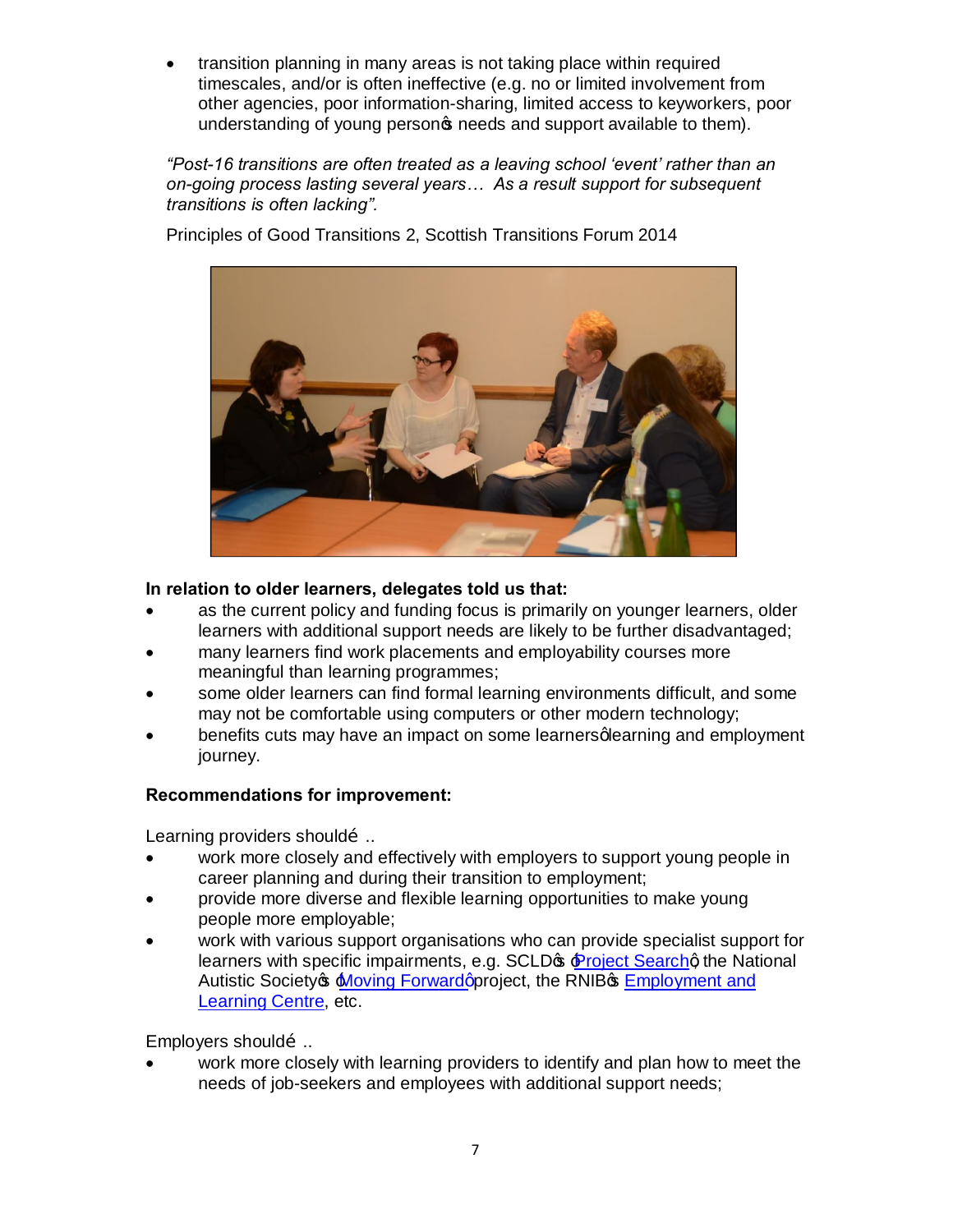transition planning in many areas is not taking place within required timescales, and/or is often ineffective (e.g. no or limited involvement from other agencies, poor information-sharing, limited access to keyworkers, poor understanding of young persong needs and support available to them).

*"Post-16 transitions are often treated as a leaving school 'event' rather than an on-going process lasting several years… As a result support for subsequent transitions is often lacking".* 

Principles of Good Transitions 2, Scottish Transitions Forum 2014



# **In relation to older learners, delegates told us that:**

- as the current policy and funding focus is primarily on younger learners, older learners with additional support needs are likely to be further disadvantaged;
- many learners find work placements and employability courses more meaningful than learning programmes;
- some older learners can find formal learning environments difficult, and some may not be comfortable using computers or other modern technology;
- benefits cuts may have an impact on some learners glearning and employment journey.

# **Recommendations for improvement:**

Learning providers shouldo...

- · work more closely and effectively with employers to support young people in career planning and during their transition to employment;
- · provide more diverse and flexible learning opportunities to make young people more employable;
- work with various support organisations who can provide specialist support for learners with specific impairments, e.g. SCLD<sub>GS</sub> Project Searchg the National Autistic Society **S** Moving Forward approject, the RNIB<sup>S</sup> Employment and Learning Centre, etc.

Employers shouldo...

work more closely with learning providers to identify and plan how to meet the needs of job-seekers and employees with additional support needs;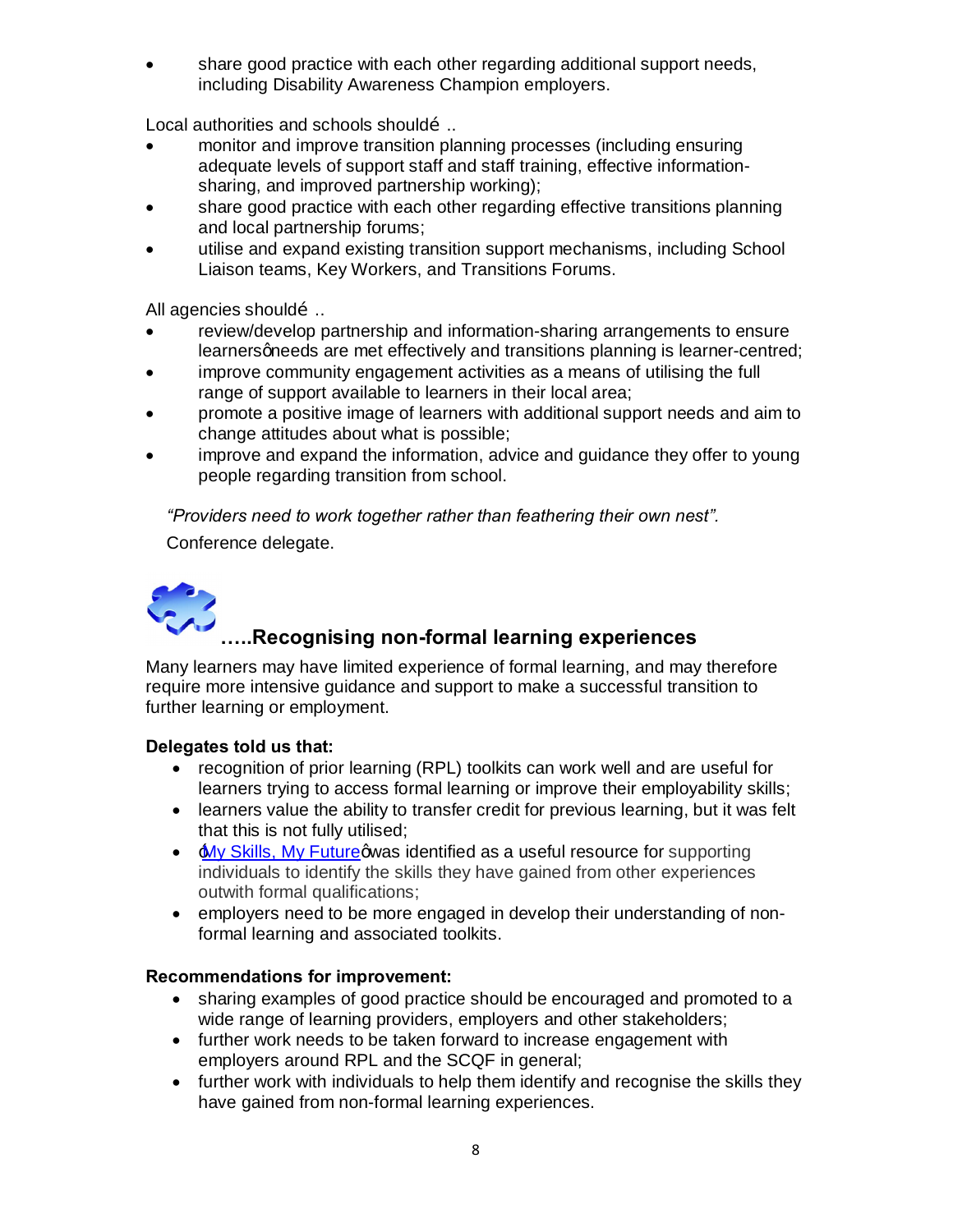· share good practice with each other regarding additional support needs, including Disability Awareness Champion employers.

Local authorities and schools shouldom.

- monitor and improve transition planning processes (including ensuring adequate levels of support staff and staff training, effective informationsharing, and improved partnership working);
- share good practice with each other regarding effective transitions planning and local partnership forums;
- · utilise and expand existing transition support mechanisms, including School Liaison teams, Key Workers, and Transitions Forums.

All agencies should…..

- · review/develop partnership and information-sharing arrangements to ensure learners gneeds are met effectively and transitions planning is learner-centred;
- · improve community engagement activities as a means of utilising the full range of support available to learners in their local area;
- · promote a positive image of learners with additional support needs and aim to change attitudes about what is possible;
- · improve and expand the information, advice and guidance they offer to young people regarding transition from school.

*"Providers need to work together rather than feathering their own nest".*

Conference delegate.



# **…..Recognising non-formal learning experiences**

Many learners may have limited experience of formal learning, and may therefore require more intensive guidance and support to make a successful transition to further learning or employment.

# **Delegates told us that:**

- · recognition of prior learning (RPL) toolkits can work well and are useful for learners trying to access formal learning or improve their employability skills;
- learners value the ability to transfer credit for previous learning, but it was felt that this is not fully utilised;
- Aly Skills, My Futuregwas identified as a useful resource for supporting individuals to identify the skills they have gained from other experiences outwith formal qualifications;
- · employers need to be more engaged in develop their understanding of nonformal learning and associated toolkits.

# **Recommendations for improvement:**

- · sharing examples of good practice should be encouraged and promoted to a wide range of learning providers, employers and other stakeholders;
- · further work needs to be taken forward to increase engagement with employers around RPL and the SCQF in general;
- · further work with individuals to help them identify and recognise the skills they have gained from non-formal learning experiences.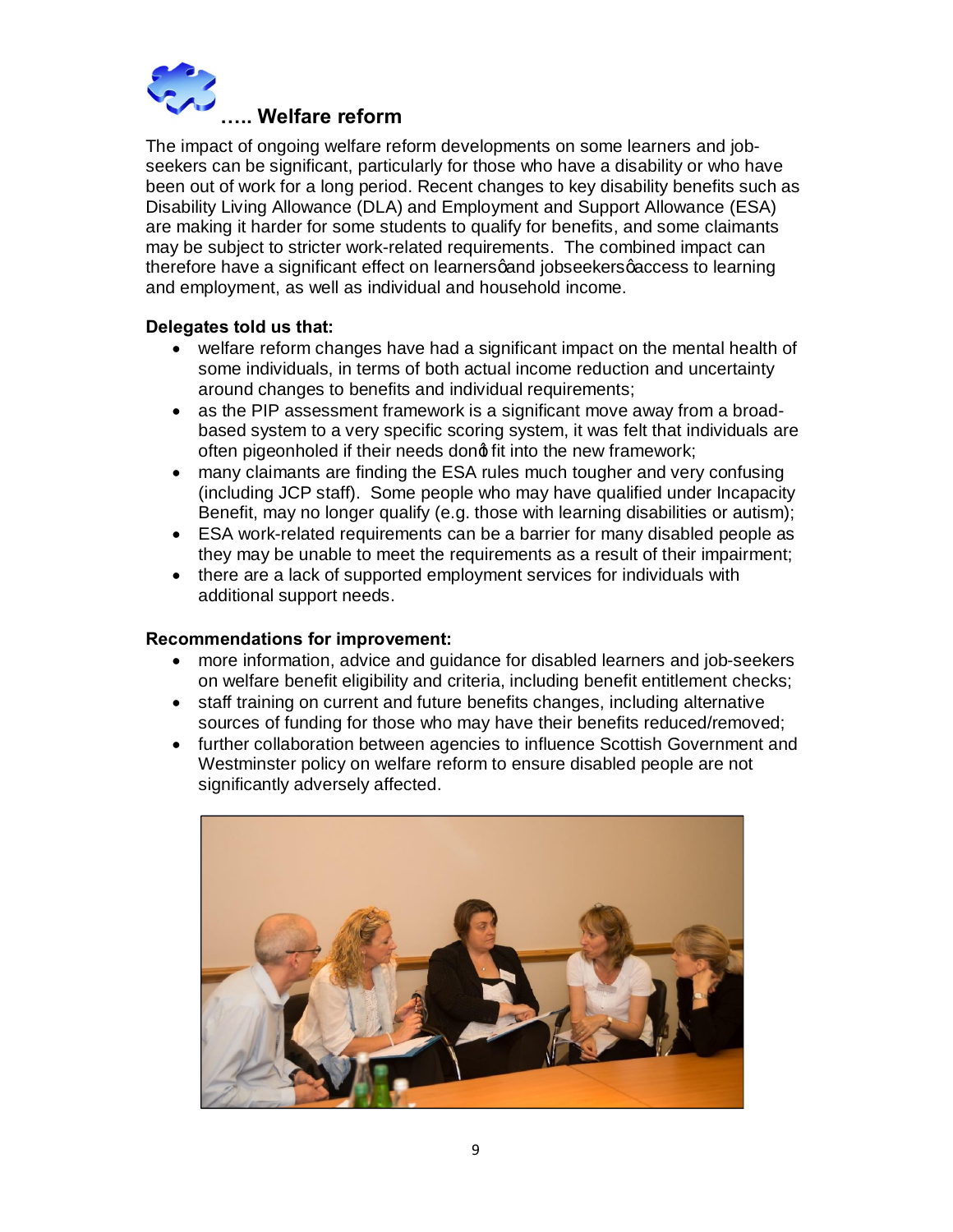

The impact of ongoing welfare reform developments on some learners and jobseekers can be significant, particularly for those who have a disability or who have been out of work for a long period. Recent changes to key disability benefits such as Disability Living Allowance (DLA) and Employment and Support Allowance (ESA) are making it harder for some students to qualify for benefits, and some claimants may be subject to stricter work-related requirements. The combined impact can therefore have a significant effect on learners gand jobseekers gaccess to learning and employment, as well as individual and household income.

# **Delegates told us that:**

- · welfare reform changes have had a significant impact on the mental health of some individuals, in terms of both actual income reduction and uncertainty around changes to benefits and individual requirements;
- as the PIP assessment framework is a significant move away from a broadbased system to a very specific scoring system, it was felt that individuals are often pigeonholed if their needs dong fit into the new framework;
- many claimants are finding the ESA rules much tougher and very confusing (including JCP staff). Some people who may have qualified under Incapacity Benefit, may no longer qualify (e.g. those with learning disabilities or autism);
- · ESA work-related requirements can be a barrier for many disabled people as they may be unable to meet the requirements as a result of their impairment;
- there are a lack of supported employment services for individuals with additional support needs.

# **Recommendations for improvement:**

- · more information, advice and guidance for disabled learners and job-seekers on welfare benefit eligibility and criteria, including benefit entitlement checks;
- · staff training on current and future benefits changes, including alternative sources of funding for those who may have their benefits reduced/removed;
- · further collaboration between agencies to influence Scottish Government and Westminster policy on welfare reform to ensure disabled people are not significantly adversely affected.

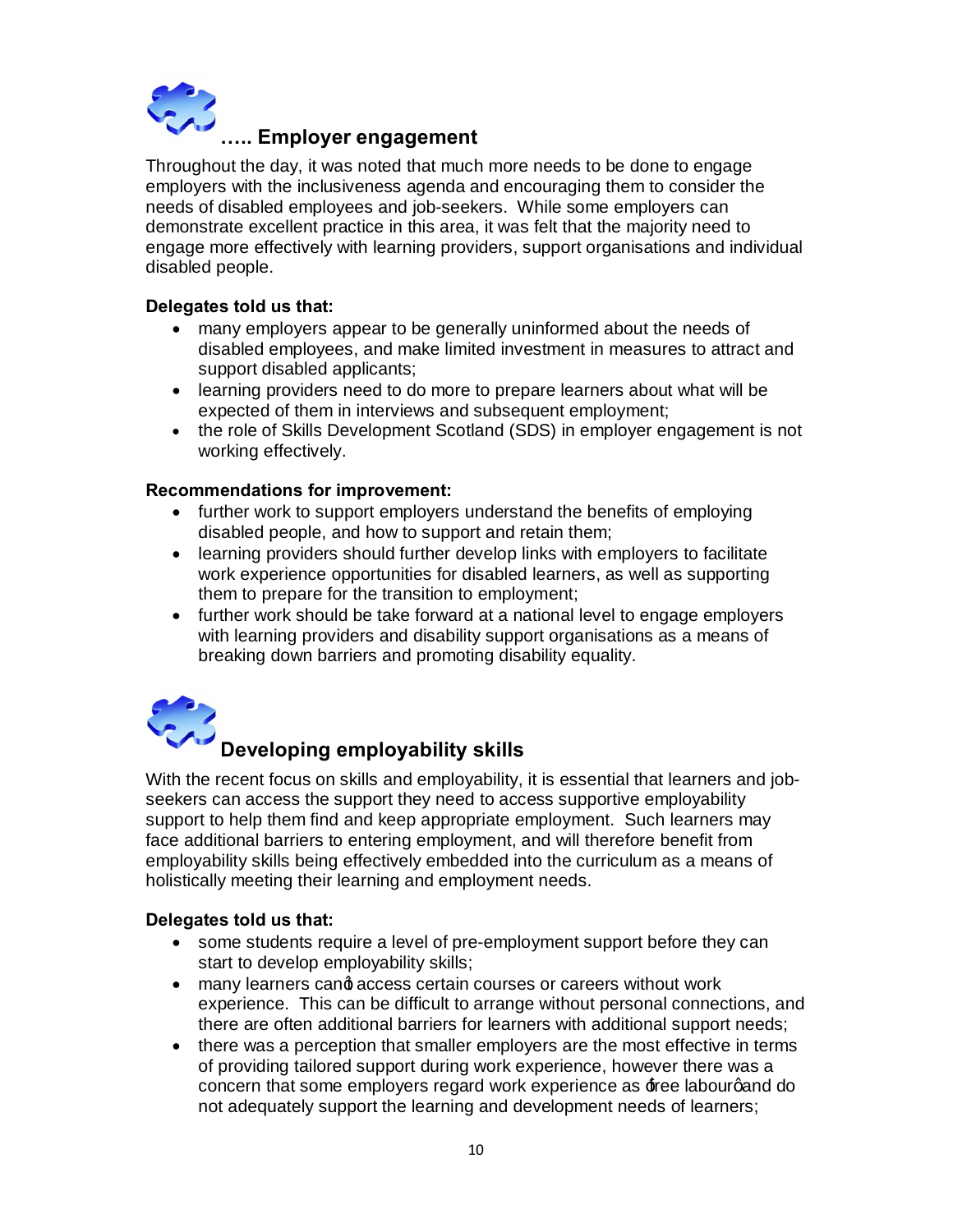

# **….. Employer engagement**

Throughout the day, it was noted that much more needs to be done to engage employers with the inclusiveness agenda and encouraging them to consider the needs of disabled employees and job-seekers. While some employers can demonstrate excellent practice in this area, it was felt that the majority need to engage more effectively with learning providers, support organisations and individual disabled people.

# **Delegates told us that:**

- · many employers appear to be generally uninformed about the needs of disabled employees, and make limited investment in measures to attract and support disabled applicants;
- · learning providers need to do more to prepare learners about what will be expected of them in interviews and subsequent employment;
- · the role of Skills Development Scotland (SDS) in employer engagement is not working effectively.

#### **Recommendations for improvement:**

- · further work to support employers understand the benefits of employing disabled people, and how to support and retain them;
- learning providers should further develop links with employers to facilitate work experience opportunities for disabled learners, as well as supporting them to prepare for the transition to employment;
- · further work should be take forward at a national level to engage employers with learning providers and disability support organisations as a means of breaking down barriers and promoting disability equality.



# **Developing employability skills**<br>Developing employability skills

With the recent focus on skills and employability, it is essential that learners and jobseekers can access the support they need to access supportive employability support to help them find and keep appropriate employment. Such learners may face additional barriers to entering employment, and will therefore benefit from employability skills being effectively embedded into the curriculum as a means of holistically meeting their learning and employment needs.

# **Delegates told us that:**

- · some students require a level of pre-employment support before they can start to develop employability skills;
- many learners cand access certain courses or careers without work experience. This can be difficult to arrange without personal connections, and there are often additional barriers for learners with additional support needs;
- there was a perception that smaller employers are the most effective in terms of providing tailored support during work experience, however there was a concern that some employers regard work experience as  $\textbf{f}$ ree labourgand do not adequately support the learning and development needs of learners;